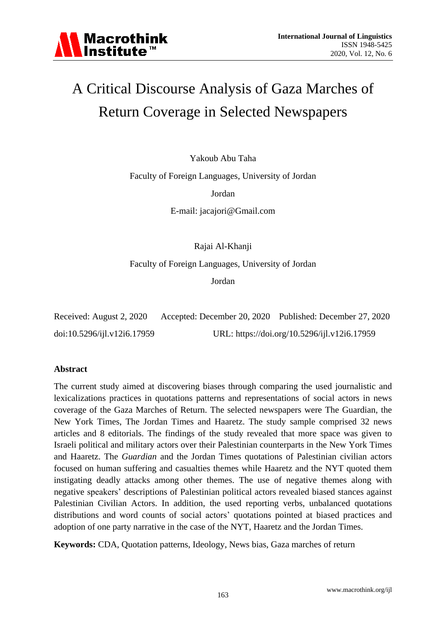

# A Critical Discourse Analysis of Gaza Marches of Return Coverage in Selected Newspapers

Yakoub Abu Taha

Faculty of Foreign Languages, University of Jordan

Jordan

E-mail: jacajori@Gmail.com

Rajai Al-Khanji

Faculty of Foreign Languages, University of Jordan

Jordan

| Received: August 2, 2020    | Accepted: December 20, 2020 Published: December 27, 2020 |
|-----------------------------|----------------------------------------------------------|
| doi:10.5296/ijl.v12i6.17959 | URL: https://doi.org/10.5296/ijl.v12i6.17959             |

### **Abstract**

The current study aimed at discovering biases through comparing the used journalistic and lexicalizations practices in quotations patterns and representations of social actors in news coverage of the Gaza Marches of Return. The selected newspapers were The Guardian, the New York Times, The Jordan Times and Haaretz. The study sample comprised 32 news articles and 8 editorials. The findings of the study revealed that more space was given to Israeli political and military actors over their Palestinian counterparts in the New York Times and Haaretz. The *Guardian* and the Jordan Times quotations of Palestinian civilian actors focused on human suffering and casualties themes while Haaretz and the NYT quoted them instigating deadly attacks among other themes. The use of negative themes along with negative speakers" descriptions of Palestinian political actors revealed biased stances against Palestinian Civilian Actors. In addition, the used reporting verbs, unbalanced quotations distributions and word counts of social actors' quotations pointed at biased practices and adoption of one party narrative in the case of the NYT, Haaretz and the Jordan Times.

**Keywords:** CDA, Quotation patterns, Ideology, News bias, Gaza marches of return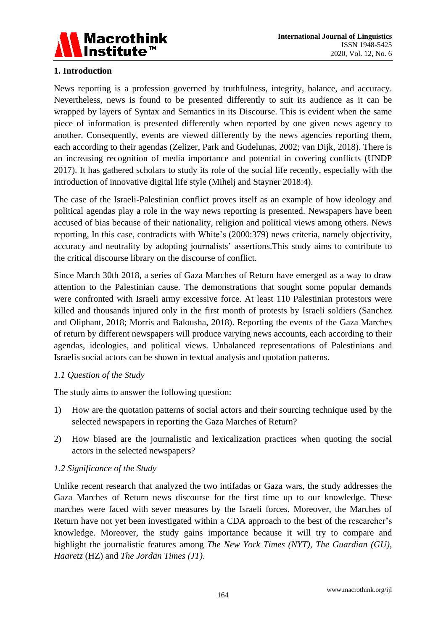

# **1. Introduction**

News reporting is a profession governed by truthfulness, integrity, balance, and accuracy. Nevertheless, news is found to be presented differently to suit its audience as it can be wrapped by layers of Syntax and Semantics in its Discourse. This is evident when the same piece of information is presented differently when reported by one given news agency to another. Consequently, events are viewed differently by the news agencies reporting them, each according to their agendas (Zelizer, Park and Gudelunas, 2002; van Dijk, 2018). There is an increasing recognition of media importance and potential in covering conflicts (UNDP 2017). It has gathered scholars to study its role of the social life recently, especially with the introduction of innovative digital life style (Mihelj and Stayner 2018:4).

The case of the Israeli-Palestinian conflict proves itself as an example of how ideology and political agendas play a role in the way news reporting is presented. Newspapers have been accused of bias because of their nationality, religion and political views among others. News reporting, In this case, contradicts with White"s (2000:379) news criteria, namely objectivity, accuracy and neutrality by adopting journalists' assertions. This study aims to contribute to the critical discourse library on the discourse of conflict.

Since March 30th 2018, a series of Gaza Marches of Return have emerged as a way to draw attention to the Palestinian cause. The demonstrations that sought some popular demands were confronted with Israeli army excessive force. At least 110 Palestinian protestors were killed and thousands injured only in the first month of protests by Israeli soldiers (Sanchez and Oliphant, 2018; Morris and Balousha, 2018). Reporting the events of the Gaza Marches of return by different newspapers will produce varying news accounts, each according to their agendas, ideologies, and political views. Unbalanced representations of Palestinians and Israelis social actors can be shown in textual analysis and quotation patterns.

### *1.1 Question of the Study*

The study aims to answer the following question:

- 1) How are the quotation patterns of social actors and their sourcing technique used by the selected newspapers in reporting the Gaza Marches of Return?
- 2) How biased are the journalistic and lexicalization practices when quoting the social actors in the selected newspapers?

### *1.2 Significance of the Study*

Unlike recent research that analyzed the two intifadas or Gaza wars, the study addresses the Gaza Marches of Return news discourse for the first time up to our knowledge. These marches were faced with sever measures by the Israeli forces. Moreover, the Marches of Return have not yet been investigated within a CDA approach to the best of the researcher"s knowledge. Moreover, the study gains importance because it will try to compare and highlight the journalistic features among *The New York Times (NYT)*, *The Guardian (GU)*, *Haaretz* (HZ) and *The Jordan Times (JT)*.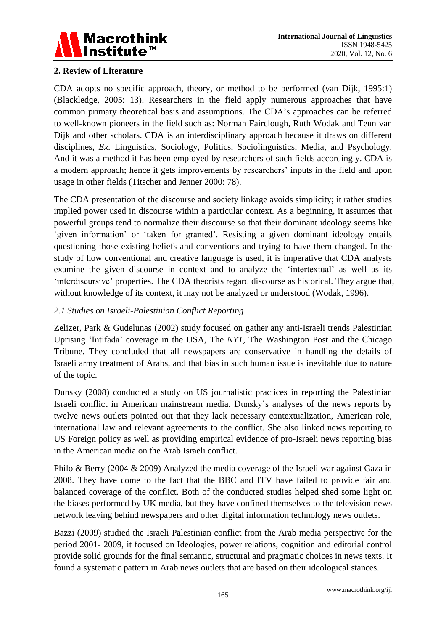

# **2. Review of Literature**

CDA adopts no specific approach, theory, or method to be performed (van Dijk, 1995:1) (Blackledge, 2005: 13). Researchers in the field apply numerous approaches that have common primary theoretical basis and assumptions. The CDA"s approaches can be referred to well-known pioneers in the field such as: Norman Fairclough, Ruth Wodak and Teun van Dijk and other scholars. CDA is an interdisciplinary approach because it draws on different disciplines, *Ex.* Linguistics, Sociology, Politics, Sociolinguistics, Media, and Psychology. And it was a method it has been employed by researchers of such fields accordingly. CDA is a modern approach; hence it gets improvements by researchers' inputs in the field and upon usage in other fields (Titscher and Jenner 2000: 78).

The CDA presentation of the discourse and society linkage avoids simplicity; it rather studies implied power used in discourse within a particular context. As a beginning, it assumes that powerful groups tend to normalize their discourse so that their dominant ideology seems like "given information" or "taken for granted". Resisting a given dominant ideology entails questioning those existing beliefs and conventions and trying to have them changed. In the study of how conventional and creative language is used, it is imperative that CDA analysts examine the given discourse in context and to analyze the 'intertextual' as well as its "interdiscursive" properties. The CDA theorists regard discourse as historical. They argue that, without knowledge of its context, it may not be analyzed or understood (Wodak, 1996).

# *2.1 Studies on Israeli-Palestinian Conflict Reporting*

Zelizer, Park & Gudelunas (2002) study focused on gather any anti-Israeli trends Palestinian Uprising "Intifada" coverage in the USA, The *NYT*, The Washington Post and the Chicago Tribune. They concluded that all newspapers are conservative in handling the details of Israeli army treatment of Arabs, and that bias in such human issue is inevitable due to nature of the topic.

Dunsky (2008) conducted a study on US journalistic practices in reporting the Palestinian Israeli conflict in American mainstream media. Dunsky"s analyses of the news reports by twelve news outlets pointed out that they lack necessary contextualization, American role, international law and relevant agreements to the conflict. She also linked news reporting to US Foreign policy as well as providing empirical evidence of pro-Israeli news reporting bias in the American media on the Arab Israeli conflict.

Philo & Berry (2004 & 2009) Analyzed the media coverage of the Israeli war against Gaza in 2008. They have come to the fact that the BBC and ITV have failed to provide fair and balanced coverage of the conflict. Both of the conducted studies helped shed some light on the biases performed by UK media, but they have confined themselves to the television news network leaving behind newspapers and other digital information technology news outlets.

Bazzi (2009) studied the Israeli Palestinian conflict from the Arab media perspective for the period 2001- 2009, it focused on Ideologies, power relations, cognition and editorial control provide solid grounds for the final semantic, structural and pragmatic choices in news texts. It found a systematic pattern in Arab news outlets that are based on their ideological stances.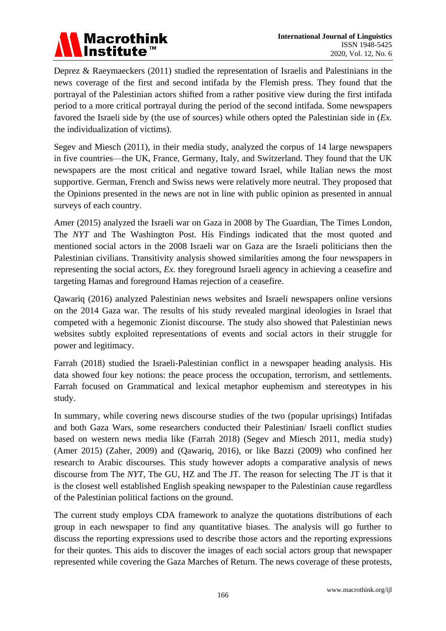

Deprez & Raeymaeckers (2011) studied the representation of Israelis and Palestinians in the news coverage of the first and second intifada by the Flemish press. They found that the portrayal of the Palestinian actors shifted from a rather positive view during the first intifada period to a more critical portrayal during the period of the second intifada. Some newspapers favored the Israeli side by (the use of sources) while others opted the Palestinian side in (*Ex.* the individualization of victims).

Segev and Miesch (2011), in their media study, analyzed the corpus of 14 large newspapers in five countries—the UK, France, Germany, Italy, and Switzerland. They found that the UK newspapers are the most critical and negative toward Israel, while Italian news the most supportive. German, French and Swiss news were relatively more neutral. They proposed that the Opinions presented in the news are not in line with public opinion as presented in annual surveys of each country.

Amer (2015) analyzed the Israeli war on Gaza in 2008 by The Guardian, The Times London, The *NYT* and The Washington Post. His Findings indicated that the most quoted and mentioned social actors in the 2008 Israeli war on Gaza are the Israeli politicians then the Palestinian civilians. Transitivity analysis showed similarities among the four newspapers in representing the social actors, *Ex.* they foreground Israeli agency in achieving a ceasefire and targeting Hamas and foreground Hamas rejection of a ceasefire.

Qawariq (2016) analyzed Palestinian news websites and Israeli newspapers online versions on the 2014 Gaza war. The results of his study revealed marginal ideologies in Israel that competed with a hegemonic Zionist discourse. The study also showed that Palestinian news websites subtly exploited representations of events and social actors in their struggle for power and legitimacy.

Farrah (2018) studied the Israeli-Palestinian conflict in a newspaper heading analysis. His data showed four key notions: the peace process the occupation, terrorism, and settlements. Farrah focused on Grammatical and lexical metaphor euphemism and stereotypes in his study.

In summary, while covering news discourse studies of the two (popular uprisings) Intifadas and both Gaza Wars, some researchers conducted their Palestinian/ Israeli conflict studies based on western news media like (Farrah 2018) (Segev and Miesch 2011, media study) (Amer 2015) (Zaher, 2009) and (Qawariq, 2016), or like Bazzi (2009) who confined her research to Arabic discourses. This study however adopts a comparative analysis of news discourse from The *NYT*, The GU, HZ and The JT. The reason for selecting The JT is that it is the closest well established English speaking newspaper to the Palestinian cause regardless of the Palestinian political factions on the ground.

The current study employs CDA framework to analyze the quotations distributions of each group in each newspaper to find any quantitative biases. The analysis will go further to discuss the reporting expressions used to describe those actors and the reporting expressions for their quotes. This aids to discover the images of each social actors group that newspaper represented while covering the Gaza Marches of Return. The news coverage of these protests,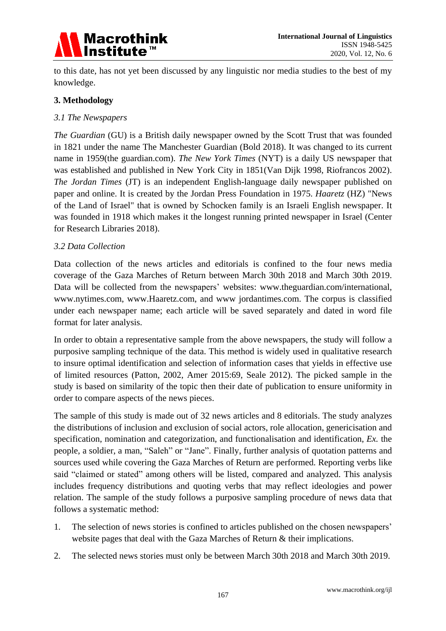

to this date, has not yet been discussed by any linguistic nor media studies to the best of my knowledge.

# **3. Methodology**

### *3.1 The Newspapers*

*The Guardian* (GU) is a British daily newspaper owned by the Scott Trust that was founded in 1821 under the name The Manchester Guardian (Bold 2018). It was changed to its current name in 1959(the guardian.com). *The New York Times* (NYT) is a daily US newspaper that was established and published in New York City in 1851(Van Dijk 1998, Riofrancos 2002). *The Jordan Times* (JT) is an independent English-language daily newspaper published on paper and online. It is created by the Jordan Press Foundation in 1975. *Haaretz* (HZ) "News of the Land of Israel" that is owned by Schocken family is an Israeli English newspaper. It was founded in 1918 which makes it the longest running printed newspaper in Israel (Center for Research Libraries 2018).

### *3.2 Data Collection*

Data collection of the news articles and editorials is confined to the four news media coverage of the Gaza Marches of Return between March 30th 2018 and March 30th 2019. Data will be collected from the newspapers' websites: www.theguardian.com/international, www.nytimes.com, www.Haaretz.com, and www jordantimes.com. The corpus is classified under each newspaper name; each article will be saved separately and dated in word file format for later analysis.

In order to obtain a representative sample from the above newspapers, the study will follow a purposive sampling technique of the data. This method is widely used in qualitative research to insure optimal identification and selection of information cases that yields in effective use of limited resources (Patton, 2002, Amer 2015:69, Seale 2012). The picked sample in the study is based on similarity of the topic then their date of publication to ensure uniformity in order to compare aspects of the news pieces.

The sample of this study is made out of 32 news articles and 8 editorials. The study analyzes the distributions of inclusion and exclusion of social actors, role allocation, genericisation and specification, nomination and categorization, and functionalisation and identification, *Ex.* the people, a soldier, a man, "Saleh" or "Jane". Finally, further analysis of quotation patterns and sources used while covering the Gaza Marches of Return are performed. Reporting verbs like said "claimed or stated" among others will be listed, compared and analyzed. This analysis includes frequency distributions and quoting verbs that may reflect ideologies and power relation. The sample of the study follows a purposive sampling procedure of news data that follows a systematic method:

- 1. The selection of news stories is confined to articles published on the chosen newspapers" website pages that deal with the Gaza Marches of Return & their implications.
- 2. The selected news stories must only be between March 30th 2018 and March 30th 2019.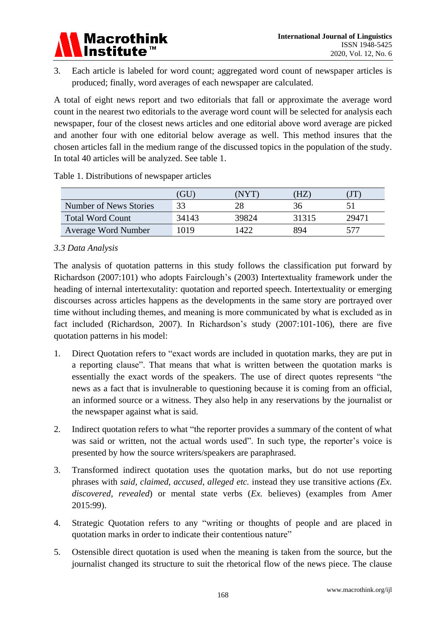

3. Each article is labeled for word count; aggregated word count of newspaper articles is produced; finally, word averages of each newspaper are calculated.

A total of eight news report and two editorials that fall or approximate the average word count in the nearest two editorials to the average word count will be selected for analysis each newspaper, four of the closest news articles and one editorial above word average are picked and another four with one editorial below average as well. This method insures that the chosen articles fall in the medium range of the discussed topics in the population of the study. In total 40 articles will be analyzed. See table 1.

|                            | <b>GU</b> | 'NYT. | ΉZ    | IJ T  |
|----------------------------|-----------|-------|-------|-------|
| Number of News Stories     | 33        |       |       |       |
| <b>Total Word Count</b>    | 34143     | 39824 | 31315 | 29471 |
| <b>Average Word Number</b> | 1019      | 1422  | 894   |       |

Table 1. Distributions of newspaper articles

# *3.3 Data Analysis*

The analysis of quotation patterns in this study follows the classification put forward by Richardson (2007:101) who adopts Fairclough"s (2003) Intertextuality framework under the heading of internal intertexutality: quotation and reported speech. Intertextuality or emerging discourses across articles happens as the developments in the same story are portrayed over time without including themes, and meaning is more communicated by what is excluded as in fact included (Richardson, 2007). In Richardson"s study (2007:101-106), there are five quotation patterns in his model:

- 1. Direct Quotation refers to "exact words are included in quotation marks, they are put in a reporting clause". That means that what is written between the quotation marks is essentially the exact words of the speakers. The use of direct quotes represents "the news as a fact that is invulnerable to questioning because it is coming from an official, an informed source or a witness. They also help in any reservations by the journalist or the newspaper against what is said.
- 2. Indirect quotation refers to what "the reporter provides a summary of the content of what was said or written, not the actual words used". In such type, the reporter's voice is presented by how the source writers/speakers are paraphrased.
- 3. Transformed indirect quotation uses the quotation marks, but do not use reporting phrases with *said, claimed, accused, alleged etc.* instead they use transitive actions *(Ex. discovered, revealed*) or mental state verbs (*Ex.* believes) (examples from Amer 2015:99).
- 4. Strategic Quotation refers to any "writing or thoughts of people and are placed in quotation marks in order to indicate their contentious nature"
- 5. Ostensible direct quotation is used when the meaning is taken from the source, but the journalist changed its structure to suit the rhetorical flow of the news piece. The clause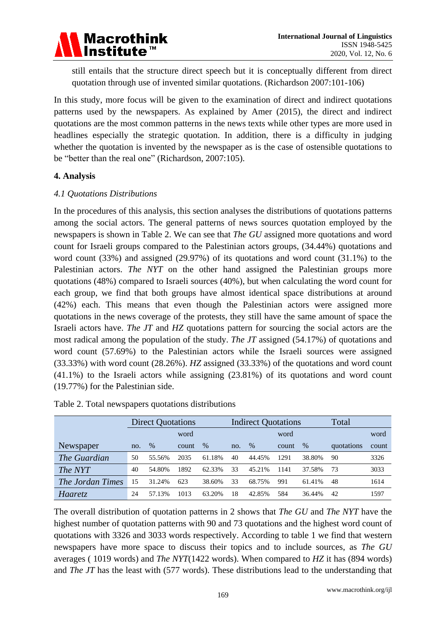

still entails that the structure direct speech but it is conceptually different from direct quotation through use of invented similar quotations. (Richardson 2007:101-106)

In this study, more focus will be given to the examination of direct and indirect quotations patterns used by the newspapers. As explained by Amer (2015), the direct and indirect quotations are the most common patterns in the news texts while other types are more used in headlines especially the strategic quotation. In addition, there is a difficulty in judging whether the quotation is invented by the newspaper as is the case of ostensible quotations to be "better than the real one" (Richardson, 2007:105).

### **4. Analysis**

### *4.1 Quotations Distributions*

In the procedures of this analysis, this section analyses the distributions of quotations patterns among the social actors. The general patterns of news sources quotation employed by the newspapers is shown in Table 2. We can see that *The GU* assigned more quotations and word count for Israeli groups compared to the Palestinian actors groups, (34.44%) quotations and word count (33%) and assigned (29.97%) of its quotations and word count (31.1%) to the Palestinian actors. *The NYT* on the other hand assigned the Palestinian groups more quotations (48%) compared to Israeli sources (40%), but when calculating the word count for each group, we find that both groups have almost identical space distributions at around (42%) each. This means that even though the Palestinian actors were assigned more quotations in the news coverage of the protests, they still have the same amount of space the Israeli actors have. *The JT* and *HZ* quotations pattern for sourcing the social actors are the most radical among the population of the study. *The JT* assigned (54.17%) of quotations and word count (57.69%) to the Palestinian actors while the Israeli sources were assigned (33.33%) with word count (28.26%). *HZ* assigned (33.33%) of the quotations and word count (41.1%) to the Israeli actors while assigning (23.81%) of its quotations and word count (19.77%) for the Palestinian side.

|                     | <b>Direct Quotations</b> |        |       |        |     | <b>Indirect Quotations</b> |       | Total  |            |       |
|---------------------|--------------------------|--------|-------|--------|-----|----------------------------|-------|--------|------------|-------|
|                     | word                     |        |       |        |     |                            |       | word   |            |       |
| Newspaper           | no.                      | $\%$   | count | $\%$   | no. | $\%$                       | count | $\%$   | quotations | count |
| <i>The Guardian</i> | 50                       | 55.56% | 2035  | 61.18% | 40  | 44.45%                     | 1291  | 38.80% | 90         | 3326  |
| The NYT             | 40                       | 54.80% | 1892  | 62.33% | 33  | 45.21%                     | 1141  | 37.58% | 73         | 3033  |
| The Jordan Times    | 15                       | 31.24% | 623   | 38.60% | 33  | 68.75%                     | 991   | 61.41% | 48         | 1614  |
| Haaretz             | 24                       | 57.13% | 1013  | 63.20% | 18  | 42.85%                     | 584   | 36.44% | 42         | 1597  |

Table 2. Total newspapers quotations distributions

The overall distribution of quotation patterns in 2 shows that *The GU* and *The NYT* have the highest number of quotation patterns with 90 and 73 quotations and the highest word count of quotations with 3326 and 3033 words respectively. According to table 1 we find that western newspapers have more space to discuss their topics and to include sources, as *The GU* averages ( 1019 words) and *The NYT*(1422 words). When compared to *HZ* it has (894 words) and *The JT* has the least with (577 words). These distributions lead to the understanding that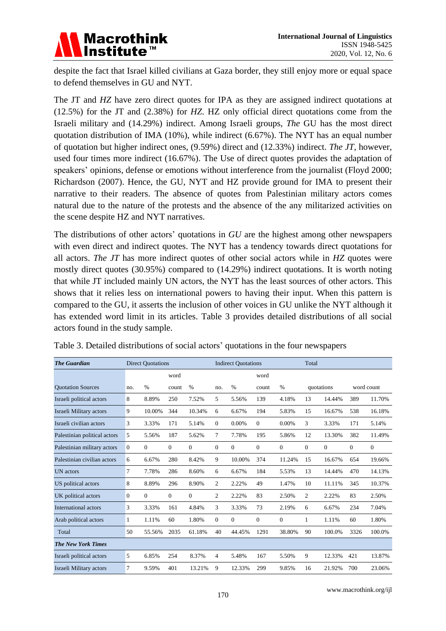

despite the fact that Israel killed civilians at Gaza border, they still enjoy more or equal space to defend themselves in GU and NYT.

The JT and *HZ* have zero direct quotes for IPA as they are assigned indirect quotations at (12.5%) for the JT and (2.38%) for *HZ*. HZ only official direct quotations come from the Israeli military and (14.29%) indirect. Among Israeli groups, *The* GU has the most direct quotation distribution of IMA (10%), while indirect (6.67%). The NYT has an equal number of quotation but higher indirect ones, (9.59%) direct and (12.33%) indirect. *The JT*, however, used four times more indirect (16.67%). The Use of direct quotes provides the adaptation of speakers' opinions, defense or emotions without interference from the journalist (Floyd 2000; Richardson (2007). Hence, the GU, NYT and HZ provide ground for IMA to present their narrative to their readers. The absence of quotes from Palestinian military actors comes natural due to the nature of the protests and the absence of the any militarized activities on the scene despite HZ and NYT narratives.

The distributions of other actors' quotations in *GU* are the highest among other newspapers with even direct and indirect quotes. The NYT has a tendency towards direct quotations for all actors. *The JT* has more indirect quotes of other social actors while in *HZ* quotes were mostly direct quotes (30.95%) compared to (14.29%) indirect quotations. It is worth noting that while JT included mainly UN actors, the NYT has the least sources of other actors. This shows that it relies less on international powers to having their input. When this pattern is compared to the GU, it asserts the inclusion of other voices in GU unlike the NYT although it has extended word limit in its articles. Table 3 provides detailed distributions of all social actors found in the study sample.

| <b>The Guardian</b>          | <b>Direct Quotations</b> |              |              |                | <b>Indirect Quotations</b> |               |                |                | Total        |              |              |              |  |
|------------------------------|--------------------------|--------------|--------------|----------------|----------------------------|---------------|----------------|----------------|--------------|--------------|--------------|--------------|--|
|                              |                          |              | word         |                |                            |               | word           |                |              |              |              |              |  |
| <b>Ouotation Sources</b>     | no.                      | $\%$         | count        | $\frac{0}{0}$  | no.                        | $\frac{0}{0}$ | count          | $\%$           |              | quotations   |              | word count   |  |
| Israeli political actors     | 8                        | 8.89%        | 250          | 7.52%          | 5                          | 5.56%         | 139            | 4.18%          | 13           | 14.44%       | 389          | 11.70%       |  |
| Israeli Military actors      | 9                        | 10.00%       | 344          | 10.34%         | 6                          | 6.67%         | 194            | 5.83%          | 15           | 16.67%       | 538          | 16.18%       |  |
| Israeli civilian actors      | 3                        | 3.33%        | 171          | 5.14%          | $\Omega$                   | 0.00%         | $\overline{0}$ | 0.00%          | 3            | 3.33%        | 171          | 5.14%        |  |
| Palestinian political actors | 5                        | 5.56%        | 187          | 5.62%          | 7                          | 7.78%         | 195            | 5.86%          | 12           | 13.30%       | 382          | 11.49%       |  |
| Palestinian military actors  | $\mathbf{0}$             | $\mathbf{0}$ | $\mathbf{0}$ | $\overline{0}$ | $\mathbf{0}$               | $\mathbf{0}$  | $\overline{0}$ | $\theta$       | $\mathbf{0}$ | $\mathbf{0}$ | $\mathbf{0}$ | $\mathbf{0}$ |  |
| Palestinian civilian actors  | 6                        | 6.67%        | 280          | 8.42%          | 9                          | 10.00%        | 374            | 11.24%         | 15           | 16.67%       | 654          | 19.66%       |  |
| UN actors                    | 7                        | 7.78%        | 286          | 8.60%          | 6                          | 6.67%         | 184            | 5.53%          | 13           | 14.44%       | 470          | 14.13%       |  |
| US political actors          | 8                        | 8.89%        | 296          | 8.90%          | $\overline{c}$             | 2.22%         | 49             | 1.47%          | 10           | 11.11%       | 345          | 10.37%       |  |
| UK political actors          | $\Omega$                 | $\mathbf{0}$ | $\mathbf{0}$ | $\overline{0}$ | 2                          | 2.22%         | 83             | 2.50%          | 2            | 2.22%        | 83           | 2.50%        |  |
| International actors         | 3                        | 3.33%        | 161          | 4.84%          | 3                          | 3.33%         | 73             | 2.19%          | 6            | 6.67%        | 234          | 7.04%        |  |
| Arab political actors        | 1                        | 1.11%        | 60           | 1.80%          | $\mathbf{0}$               | $\mathbf{0}$  | $\overline{0}$ | $\overline{0}$ | 1            | 1.11%        | 60           | 1.80%        |  |
| Total                        | 50                       | 55.56%       | 2035         | 61.18%         | 40                         | 44.45%        | 1291           | 38.80%         | 90           | 100.0%       | 3326         | 100.0%       |  |
| <b>The New York Times</b>    |                          |              |              |                |                            |               |                |                |              |              |              |              |  |
| Israeli political actors     | 5                        | 6.85%        | 254          | 8.37%          | 4                          | 5.48%         | 167            | 5.50%          | 9            | 12.33%       | 421          | 13.87%       |  |
| Israeli Military actors      | 7                        | 9.59%        | 401          | 13.21%         | 9                          | 12.33%        | 299            | 9.85%          | 16           | 21.92%       | 700          | 23.06%       |  |

Table 3. Detailed distributions of social actors' quotations in the four newspapers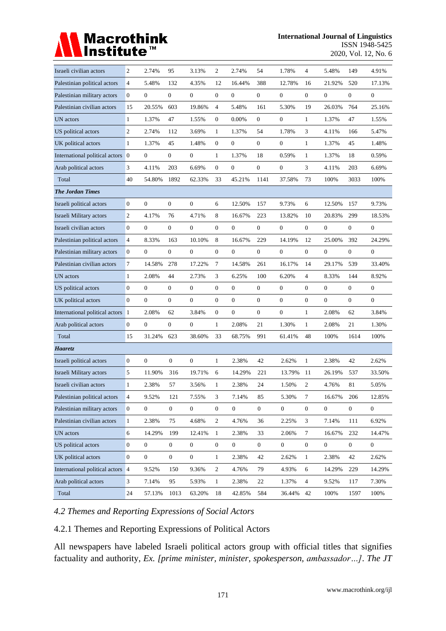# Macrothink<br>Institute™

| Israeli civilian actors          | $\mathfrak{2}$   | 2.74%            | 95               | 3.13%            | $\overline{c}$   | 2.74%            | 54               | 1.78%            | 4                | 5.48%            | 149              | 4.91%            |
|----------------------------------|------------------|------------------|------------------|------------------|------------------|------------------|------------------|------------------|------------------|------------------|------------------|------------------|
| Palestinian political actors     | $\overline{4}$   | 5.48%            | 132              | 4.35%            | 12               | 16.44%           | 388              | 12.78%           | 16               | 21.92%           | 520              | 17.13%           |
| Palestinian military actors      | $\boldsymbol{0}$ | $\boldsymbol{0}$ | $\boldsymbol{0}$ | $\boldsymbol{0}$ | $\overline{0}$   | $\mathbf{0}$     | $\boldsymbol{0}$ | $\boldsymbol{0}$ | $\mathbf{0}$     | $\boldsymbol{0}$ | $\boldsymbol{0}$ | $\boldsymbol{0}$ |
| Palestinian civilian actors      | 15               | 20.55%           | 603              | 19.86%           | 4                | 5.48%            | 161              | 5.30%            | 19               | 26.03%           | 764              | 25.16%           |
| UN actors                        | $\mathbf{1}$     | 1.37%            | 47               | 1.55%            | 0                | 0.00%            | $\boldsymbol{0}$ | $\boldsymbol{0}$ | $\mathbf{1}$     | 1.37%            | 47               | 1.55%            |
| US political actors              | $\mathfrak{2}$   | 2.74%            | 112              | 3.69%            | $\mathbf{1}$     | 1.37%            | 54               | 1.78%            | 3                | 4.11%            | 166              | 5.47%            |
| UK political actors              | $\mathbf{1}$     | 1.37%            | 45               | 1.48%            | $\boldsymbol{0}$ | $\boldsymbol{0}$ | $\overline{0}$   | $\boldsymbol{0}$ | $\mathbf{1}$     | 1.37%            | 45               | 1.48%            |
| International political actors 0 |                  | $\boldsymbol{0}$ | $\boldsymbol{0}$ | $\boldsymbol{0}$ | $\mathbf{1}$     | 1.37%            | 18               | 0.59%            | $\mathbf{1}$     | 1.37%            | 18               | 0.59%            |
| Arab political actors            | 3                | 4.11%            | 203              | 6.69%            | $\boldsymbol{0}$ | $\boldsymbol{0}$ | $\overline{0}$   | $\mathbf{0}$     | 3                | 4.11%            | 203              | 6.69%            |
| Total                            | 40               | 54.80%           | 1892             | 62.33%           | 33               | 45.21%           | 1141             | 37.58%           | 73               | 100%             | 3033             | 100%             |
| <b>The Jordan Times</b>          |                  |                  |                  |                  |                  |                  |                  |                  |                  |                  |                  |                  |
| Israeli political actors         | $\boldsymbol{0}$ | $\boldsymbol{0}$ | $\mathbf{0}$     | $\boldsymbol{0}$ | 6                | 12.50%           | 157              | 9.73%            | 6                | 12.50%           | 157              | 9.73%            |
| Israeli Military actors          | $\mathfrak{2}$   | 4.17%            | 76               | 4.71%            | 8                | 16.67%           | 223              | 13.82%           | 10               | 20.83%           | 299              | 18.53%           |
| Israeli civilian actors          | $\boldsymbol{0}$ | $\boldsymbol{0}$ | $\mathbf{0}$     | $\boldsymbol{0}$ | $\boldsymbol{0}$ | $\mathbf{0}$     | $\overline{0}$   | $\boldsymbol{0}$ | $\mathbf{0}$     | $\boldsymbol{0}$ | $\mathbf{0}$     | 0                |
| Palestinian political actors     | $\overline{4}$   | 8.33%            | 163              | 10.10%           | 8                | 16.67%           | 229              | 14.19%           | 12               | 25.00%           | 392              | 24.29%           |
| Palestinian military actors      | $\overline{0}$   | $\mathbf{0}$     | $\overline{0}$   | $\overline{0}$   | $\overline{0}$   | $\mathbf{0}$     | $\overline{0}$   | $\boldsymbol{0}$ | $\overline{0}$   | $\mathbf{0}$     | $\boldsymbol{0}$ | $\boldsymbol{0}$ |
| Palestinian civilian actors      | 7                | 14.58%           | 278              | 17.22%           | 7                | 14.58%           | 261              | 16.17%           | 14               | 29.17%           | 539              | 33.40%           |
| UN actors                        | $\mathbf{1}$     | 2.08%            | 44               | 2.73%            | 3                | 6.25%            | 100              | 6.20%            | 4                | 8.33%            | 144              | 8.92%            |
| US political actors              | $\boldsymbol{0}$ | $\boldsymbol{0}$ | $\overline{0}$   | $\boldsymbol{0}$ | $\overline{0}$   | $\mathbf{0}$     | $\overline{0}$   | $\boldsymbol{0}$ | $\mathbf{0}$     | $\boldsymbol{0}$ | $\boldsymbol{0}$ | $\boldsymbol{0}$ |
| UK political actors              | $\boldsymbol{0}$ | $\mathbf{0}$     | $\boldsymbol{0}$ | $\mathbf{0}$     | $\boldsymbol{0}$ | $\theta$         | $\boldsymbol{0}$ | $\boldsymbol{0}$ | $\boldsymbol{0}$ | $\mathbf{0}$     | $\boldsymbol{0}$ | $\boldsymbol{0}$ |
| International political actors 1 |                  | 2.08%            | 62               | 3.84%            | 0                | $\theta$         | 0                | $\mathbf{0}$     | $\mathbf{1}$     | 2.08%            | 62               | 3.84%            |
| Arab political actors            | $\boldsymbol{0}$ | $\boldsymbol{0}$ | $\boldsymbol{0}$ | $\boldsymbol{0}$ | $\mathbf{1}$     | 2.08%            | 21               | 1.30%            | $\mathbf{1}$     | 2.08%            | 21               | 1.30%            |
| Total                            | 15               | 31.24%           | 623              | 38.60%           | 33               | 68.75%           | 991              | 61.41%           | 48               | 100%             | 1614             | 100%             |
| Haaretz                          |                  |                  |                  |                  |                  |                  |                  |                  |                  |                  |                  |                  |
| Israeli political actors         | $\boldsymbol{0}$ | $\mathbf{0}$     | $\mathbf{0}$     | $\overline{0}$   | $\mathbf{1}$     | 2.38%            | 42               | 2.62%            | $\mathbf{1}$     | 2.38%            | 42               | 2.62%            |
| Israeli Military actors          | 5                | 11.90%           | 316              | 19.71%           | 6                | 14.29%           | 221              | 13.79%           | 11               | 26.19%           | 537              | 33.50%           |
| Israeli civilian actors          | $\mathbf{1}$     | 2.38%            | 57               | 3.56%            | $\mathbf{1}$     | 2.38%            | 24               | 1.50%            | 2                | 4.76%            | 81               | 5.05%            |
| Palestinian political actors     | $\overline{4}$   | 9.52%            | 121              | 7.55%            | 3                | 7.14%            | 85               | 5.30%            | $\overline{7}$   | 16.67%           | 206              | 12.85%           |
| Palestinian military actors      | $\mathbf{0}$     | $\mathbf{0}$     | $\boldsymbol{0}$ | $\boldsymbol{0}$ | $\boldsymbol{0}$ | $\overline{0}$   | $\overline{0}$   | $\boldsymbol{0}$ | $\mathbf{0}$     | $\mathbf{0}$     | $\overline{0}$   | $\overline{0}$   |
| Palestinian civilian actors      | $\mathbf{1}$     | 2.38%            | 75               | 4.68%            | $\overline{c}$   | 4.76%            | 36               | 2.25%            | $\mathfrak{Z}$   | 7.14%            | 111              | 6.92%            |
| UN actors                        | 6                | 14.29%           | 199              | 12.41%           | $\mathbf{1}$     | 2.38%            | 33               | 2.06%            | $\tau$           | 16.67%           | 232              | 14.47%           |
| US political actors              | $\mathbf{0}$     | $\mathbf{0}$     | $\boldsymbol{0}$ | $\mathbf{0}$     | $\boldsymbol{0}$ | $\overline{0}$   | $\overline{0}$   | $\mathbf{0}$     | $\mathbf{0}$     | $\overline{0}$   | $\overline{0}$   | $\mathbf{0}$     |
| UK political actors              | $\mathbf{0}$     | $\mathbf{0}$     | $\boldsymbol{0}$ | $\boldsymbol{0}$ | $\mathbf{1}$     | 2.38%            | 42               | 2.62%            | $\mathbf{1}$     | 2.38%            | 42               | 2.62%            |
| International political actors 4 |                  | 9.52%            | 150              | 9.36%            | $\overline{c}$   | 4.76%            | 79               | 4.93%            | 6                | 14.29%           | 229              | 14.29%           |
| Arab political actors            | 3                | 7.14%            | 95               | 5.93%            | $\mathbf{1}$     | 2.38%            | 22               | 1.37%            | 4                | 9.52%            | 117              | 7.30%            |
| Total                            | 24               | 57.13%           | 1013             | 63.20%           | 18               | 42.85%           | 584              | 36.44%           | 42               | 100%             | 1597             | 100%             |

# *4.2 Themes and Reporting Expressions of Social Actors*

4.2.1 Themes and Reporting Expressions of Political Actors

All newspapers have labeled Israeli political actors group with official titles that signifies factuality and authority, *Ex. [prime minister, minister, spokesperson, ambassador…]*. *The JT*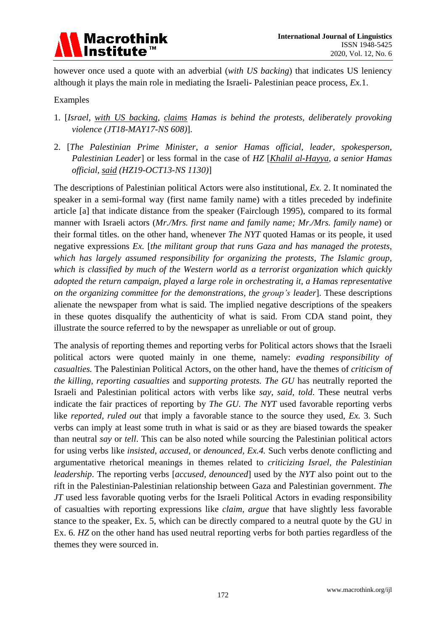

however once used a quote with an adverbial (*with US backing*) that indicates US leniency although it plays the main role in mediating the Israeli- Palestinian peace process, *Ex.*1.

### Examples

- 1. [*Israel, with US backing, claims Hamas is behind the protests, deliberately provoking violence (JT18-MAY17-NS 608)*].
- 2. [*The Palestinian Prime Minister, a senior Hamas official, leader, spokesperson, Palestinian Leader*] or less formal in the case of *HZ* [*Khalil al-Hayya, a senior Hamas official, said (HZ19-OCT13-NS 1130)*]

The descriptions of Palestinian political Actors were also institutional, *Ex.* 2. It nominated the speaker in a semi-formal way (first name family name) with a titles preceded by indefinite article [a] that indicate distance from the speaker (Fairclough 1995), compared to its formal manner with Israeli actors (*Mr./Mrs. first name and family name; Mr./Mrs. family name*) or their formal titles. on the other hand, whenever *The NYT* quoted Hamas or its people, it used negative expressions *Ex.* [*the militant group that runs Gaza and has managed the protests, which has largely assumed responsibility for organizing the protests, The Islamic group, which is classified by much of the Western world as a terrorist organization which quickly adopted the return campaign, played a large role in orchestrating it, a Hamas representative on the organizing committee for the demonstrations, the group's leader*]. These descriptions alienate the newspaper from what is said. The implied negative descriptions of the speakers in these quotes disqualify the authenticity of what is said. From CDA stand point, they illustrate the source referred to by the newspaper as unreliable or out of group.

The analysis of reporting themes and reporting verbs for Political actors shows that the Israeli political actors were quoted mainly in one theme, namely: *evading responsibility of casualties.* The Palestinian Political Actors, on the other hand, have the themes of *criticism of the killing, reporting casualties* and *supporting protests. The GU* has neutrally reported the Israeli and Palestinian political actors with verbs like *say, said, told*. These neutral verbs indicate the fair practices of reporting by *The GU*. *The NYT* used favorable reporting verbs like *reported, ruled out* that imply a favorable stance to the source they used, *Ex.* 3. Such verbs can imply at least some truth in what is said or as they are biased towards the speaker than neutral *say* or *tell*. This can be also noted while sourcing the Palestinian political actors for using verbs like *insisted*, *accused*, or *denounced, Ex.4.* Such verbs denote conflicting and argumentative rhetorical meanings in themes related to *criticizing Israel, the Palestinian leadership*. The reporting verbs [*accused, denounced*] used by the *NYT* also point out to the rift in the Palestinian-Palestinian relationship between Gaza and Palestinian government. *The JT* used less favorable quoting verbs for the Israeli Political Actors in evading responsibility of casualties with reporting expressions like *claim, argue* that have slightly less favorable stance to the speaker, Ex. 5, which can be directly compared to a neutral quote by the GU in Ex. 6. *HZ* on the other hand has used neutral reporting verbs for both parties regardless of the themes they were sourced in.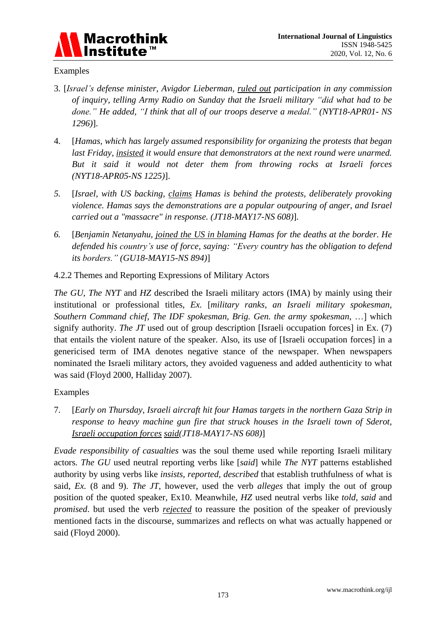

### Examples

- 3. [*Israel's defense minister, Avigdor Lieberman, ruled out participation in any commission of inquiry, telling Army Radio on Sunday that the Israeli military "did what had to be done." He added, "I think that all of our troops deserve a medal." (NYT18-APR01- NS 1296)*].
- 4. [*Hamas, which has largely assumed responsibility for organizing the protests that began last Friday, insisted it would ensure that demonstrators at the next round were unarmed. But it said it would not deter them from throwing rocks at Israeli forces (NYT18-APR05-NS 1225)*].
- *5.* [*Israel, with US backing, claims Hamas is behind the protests, deliberately provoking violence. Hamas says the demonstrations are a popular outpouring of anger, and Israel carried out a "massacre" in response. (JT18-MAY17-NS 608)*].
- *6.* [*Benjamin Netanyahu, joined the US in blaming Hamas for the deaths at the border. He defended his country's use of force, saying: "Every country has the obligation to defend its borders." (GU18-MAY15-NS 894)*]
- 4.2.2 Themes and Reporting Expressions of Military Actors

*The GU*, *The NYT* and *HZ* described the Israeli military actors (IMA) by mainly using their institutional or professional titles, *Ex.* [*military ranks, an Israeli military spokesman, Southern Command chief, The IDF spokesman, Brig. Gen. the army spokesman*, …] which signify authority. *The JT* used out of group description [Israeli occupation forces] in Ex. (7) that entails the violent nature of the speaker. Also, its use of [Israeli occupation forces] in a genericised term of IMA denotes negative stance of the newspaper. When newspapers nominated the Israeli military actors, they avoided vagueness and added authenticity to what was said (Floyd 2000, Halliday 2007).

# Examples

7. [*Early on Thursday, Israeli aircraft hit four Hamas targets in the northern Gaza Strip in response to heavy machine gun fire that struck houses in the Israeli town of Sderot, Israeli occupation forces said(JT18-MAY17-NS 608)*]

*Evade responsibility of casualties* was the soul theme used while reporting Israeli military actors*. The GU* used neutral reporting verbs like [*said*] while *The NYT* patterns established authority by using verbs like *insists, reported, described* that establish truthfulness of what is said, *Ex.* (8 and 9). *The JT*, however, used the verb *alleges* that imply the out of group position of the quoted speaker, Ex10. Meanwhile, *HZ* used neutral verbs like *told, said* and *promised*. but used the verb *rejected* to reassure the position of the speaker of previously mentioned facts in the discourse, summarizes and reflects on what was actually happened or said (Floyd 2000).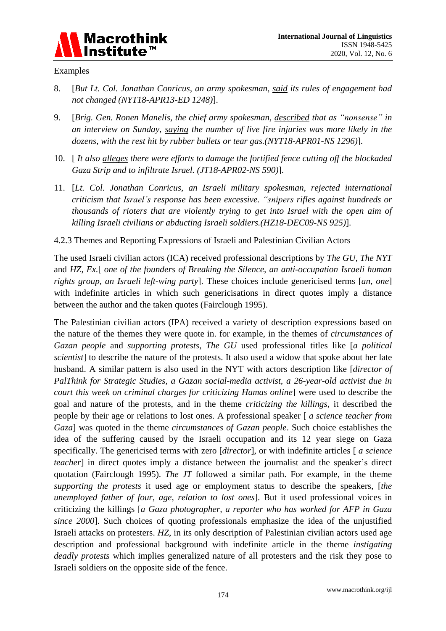

### Examples

- 8. [*But Lt. Col. Jonathan Conricus, an army spokesman, said its rules of engagement had not changed (NYT18-APR13-ED 1248)*].
- 9. [*Brig. Gen. Ronen Manelis, the chief army spokesman, described that as "nonsense" in an interview on Sunday, saying the number of live fire injuries was more likely in the dozens, with the rest hit by rubber bullets or tear gas.(NYT18-APR01-NS 1296)*].
- 10. [ *It also alleges there were efforts to damage the fortified fence cutting off the blockaded Gaza Strip and to infiltrate Israel. (JT18-APR02-NS 590)*].
- 11. [*Lt. Col. Jonathan Conricus, an Israeli military spokesman, rejected international criticism that Israel's response has been excessive. "snipers rifles against hundreds or thousands of rioters that are violently trying to get into Israel with the open aim of killing Israeli civilians or abducting Israeli soldiers.(HZ18-DEC09-NS 925)*].
- 4.2.3 Themes and Reporting Expressions of Israeli and Palestinian Civilian Actors

The used Israeli civilian actors (ICA) received professional descriptions by *The GU*, *The NYT* and *HZ*, *Ex.*[ *one of the founders of Breaking the Silence, an anti-occupation Israeli human rights group, an Israeli left-wing party*]. These choices include genericised terms [*an, one*] with indefinite articles in which such genericisations in direct quotes imply a distance between the author and the taken quotes (Fairclough 1995).

The Palestinian civilian actors (IPA) received a variety of description expressions based on the nature of the themes they were quote in. for example, in the themes of *circumstances of Gazan people* and *supporting protests*, *The GU* used professional titles like [*a political scientist*] to describe the nature of the protests. It also used a widow that spoke about her late husband. A similar pattern is also used in the NYT with actors description like [*director of PalThink for Strategic Studies, a Gazan social-media activist, a 26-year-old activist due in court this week on criminal charges for criticizing Hamas online*] were used to describe the goal and nature of the protests, and in the theme *criticizing the killings*, it described the people by their age or relations to lost ones. A professional speaker [ *a science teacher from Gaza*] was quoted in the theme *circumstances of Gazan people*. Such choice establishes the idea of the suffering caused by the Israeli occupation and its 12 year siege on Gaza specifically. The genericised terms with zero [*director*], or with indefinite articles [ *a science teacher*] in direct quotes imply a distance between the journalist and the speaker's direct quotation (Fairclough 1995). *The JT* followed a similar path. For example, in the theme *supporting the protests* it used age or employment status to describe the speakers, [*the unemployed father of four, age, relation to lost ones*]. But it used professional voices in criticizing the killings [*a Gaza photographer, a reporter who has worked for AFP in Gaza since 2000*]. Such choices of quoting professionals emphasize the idea of the unjustified Israeli attacks on protesters. *HZ*, in its only description of Palestinian civilian actors used age description and professional background with indefinite article in the theme *instigating deadly protests* which implies generalized nature of all protesters and the risk they pose to Israeli soldiers on the opposite side of the fence.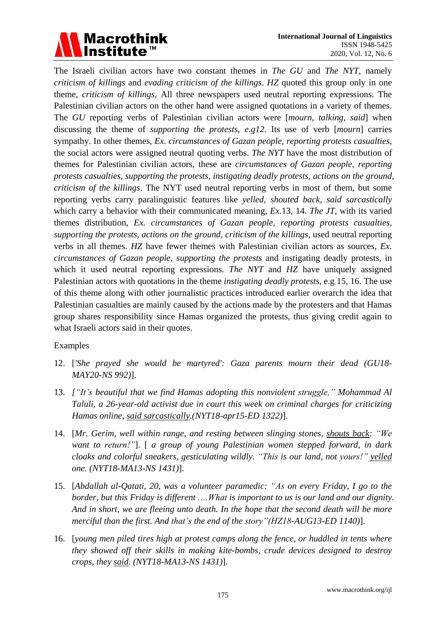# Macrothink<br>Institute™

The Israeli civilian actors have two constant themes in *The GU* and *The NYT*, namely *criticism of killings* and *evading criticism of the killings*. *HZ* quoted this group only in one theme, *criticism of killings,* All three newspapers used neutral reporting expressions. The Palestinian civilian actors on the other hand were assigned quotations in a variety of themes. The *GU* reporting verbs of Palestinian civilian actors were [*mourn, talking, said*] when discussing the theme of *supporting the protests, e.g12*. Its use of verb [*mourn*] carries sympathy. In other themes, *Ex. circumstances of Gazan people, reporting protests casualties*, the social actors were assigned neutral quoting verbs. *The NYT* have the most distribution of themes for Palestinian civilian actors, these are *circumstances of Gazan people, reporting protests casualties, supporting the protests, instigating deadly protests, actions on the ground, criticism of the killings*. The NYT used neutral reporting verbs in most of them, but some reporting verbs carry paralinguistic features like *yelled, shouted back, said sarcastically* which carry a behavior with their communicated meaning, *Ex.*13, 14. *The JT*, with its varied themes distribution, *Ex. circumstances of Gazan people, reporting protests casualties, supporting the protests, actions on the ground, criticism of the killings*, used neutral reporting verbs in all themes. *HZ* have fewer themes with Palestinian civilian actors as sources, *Ex. circumstances of Gazan people, supporting the protests* and instigating deadly protests, in which it used neutral reporting expressions. *The NYT* and *HZ* have uniquely assigned Palestinian actors with quotations in the theme *instigating deadly protests,* e.g 15, 16. The use of this theme along with other journalistic practices introduced earlier overarch the idea that Palestinian casualties are mainly caused by the actions made by the protesters and that Hamas group shares responsibility since Hamas organized the protests, thus giving credit again to what Israeli actors said in their quotes.

### Examples

- 12. [*'She prayed she would be martyred': Gaza parents mourn their dead (GU18- MAY20-NS 992)*].
- 13. *["It's beautiful that we find Hamas adopting this nonviolent struggle," Mohammad Al Taluli, a 26-year-old activist due in court this week on criminal charges for criticizing Hamas online, said sarcastically.(NYT18-apr15-ED 1322)*].
- 14. [*Mr. Gerim, well within range, and resting between slinging stones, shouts back: "We want to return!"*]. [ *a group of young Palestinian women stepped forward, in dark cloaks and colorful sneakers, gesticulating wildly. "This is our land, not yours!" yelled one. (NYT18-MA13-NS 1431)*].
- 15. [*Abdallah al-Qatati, 20, was a volunteer paramedic: "As on every Friday, I go to the border, but this Friday is different .…What is important to us is our land and our dignity. And in short, we are fleeing unto death. In the hope that the second death will be more merciful than the first. And that's the end of the story"(HZ18-AUG13-ED 1140)*].
- 16. [*young men piled tires high at protest camps along the fence, or huddled in tents where they showed off their skills in making kite-bombs, crude devices designed to destroy crops, they said. (NYT18-MA13-NS 1431)*].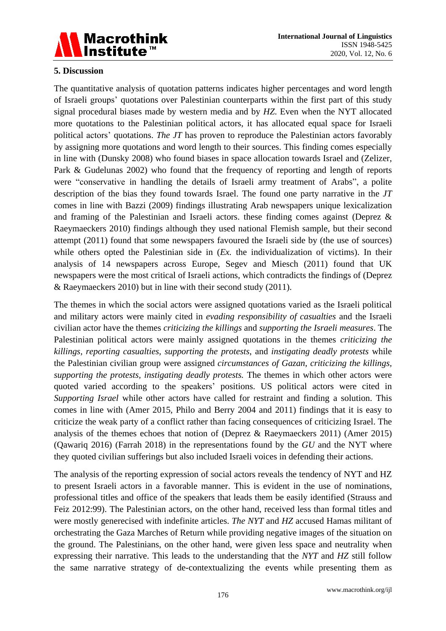

### **5. Discussion**

The quantitative analysis of quotation patterns indicates higher percentages and word length of Israeli groups" quotations over Palestinian counterparts within the first part of this study signal procedural biases made by western media and by *HZ*. Even when the NYT allocated more quotations to the Palestinian political actors, it has allocated equal space for Israeli political actors' quotations. *The JT* has proven to reproduce the Palestinian actors favorably by assigning more quotations and word length to their sources. This finding comes especially in line with (Dunsky 2008) who found biases in space allocation towards Israel and (Zelizer, Park & Gudelunas 2002) who found that the frequency of reporting and length of reports were "conservative in handling the details of Israeli army treatment of Arabs", a polite description of the bias they found towards Israel. The found one party narrative in the *JT* comes in line with Bazzi (2009) findings illustrating Arab newspapers unique lexicalization and framing of the Palestinian and Israeli actors. these finding comes against (Deprez & Raeymaeckers 2010) findings although they used national Flemish sample, but their second attempt (2011) found that some newspapers favoured the Israeli side by (the use of sources) while others opted the Palestinian side in (*Ex.* the individualization of victims). In their analysis of 14 newspapers across Europe, Segev and Miesch (2011) found that UK newspapers were the most critical of Israeli actions, which contradicts the findings of (Deprez & Raeymaeckers 2010) but in line with their second study (2011).

The themes in which the social actors were assigned quotations varied as the Israeli political and military actors were mainly cited in *evading responsibility of casualties* and the Israeli civilian actor have the themes *criticizing the killings* and *supporting the Israeli measures*. The Palestinian political actors were mainly assigned quotations in the themes *criticizing the killings, reporting casualties*, *supporting the protests*, and *instigating deadly protests* while the Palestinian civilian group were assigned *circumstances of Gazan*, *criticizing the killings, supporting the protests, instigating deadly protests.* The themes in which other actors were quoted varied according to the speakers" positions. US political actors were cited in *Supporting Israel* while other actors have called for restraint and finding a solution. This comes in line with (Amer 2015, Philo and Berry 2004 and 2011) findings that it is easy to criticize the weak party of a conflict rather than facing consequences of criticizing Israel. The analysis of the themes echoes that notion of (Deprez & Raeymaeckers 2011) (Amer 2015) (Qawariq 2016) (Farrah 2018) in the representations found by the *GU* and the NYT where they quoted civilian sufferings but also included Israeli voices in defending their actions.

The analysis of the reporting expression of social actors reveals the tendency of NYT and HZ to present Israeli actors in a favorable manner. This is evident in the use of nominations, professional titles and office of the speakers that leads them be easily identified (Strauss and Feiz 2012:99). The Palestinian actors, on the other hand, received less than formal titles and were mostly generecised with indefinite articles. *The NYT* and *HZ* accused Hamas militant of orchestrating the Gaza Marches of Return while providing negative images of the situation on the ground. The Palestinians, on the other hand, were given less space and neutrality when expressing their narrative. This leads to the understanding that the *NYT* and *HZ* still follow the same narrative strategy of de-contextualizing the events while presenting them as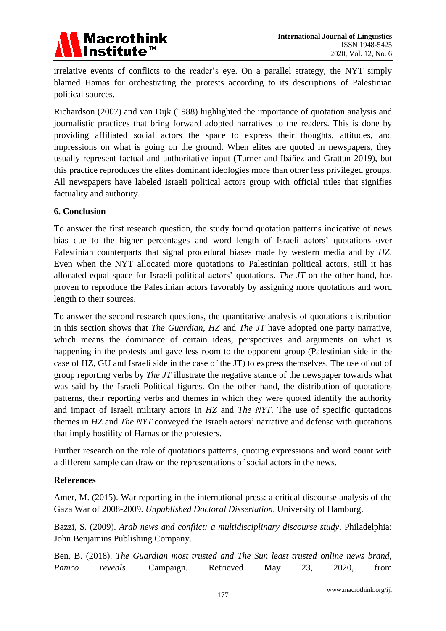

irrelative events of conflicts to the reader"s eye. On a parallel strategy, the NYT simply blamed Hamas for orchestrating the protests according to its descriptions of Palestinian political sources.

Richardson (2007) and van Dijk (1988) highlighted the importance of quotation analysis and journalistic practices that bring forward adopted narratives to the readers. This is done by providing affiliated social actors the space to express their thoughts, attitudes, and impressions on what is going on the ground. When elites are quoted in newspapers, they usually represent factual and authoritative input (Turner and Ibáñez and Grattan 2019), but this practice reproduces the elites dominant ideologies more than other less privileged groups. All newspapers have labeled Israeli political actors group with official titles that signifies factuality and authority.

### **6. Conclusion**

To answer the first research question, the study found quotation patterns indicative of news bias due to the higher percentages and word length of Israeli actors' quotations over Palestinian counterparts that signal procedural biases made by western media and by *HZ*. Even when the NYT allocated more quotations to Palestinian political actors, still it has allocated equal space for Israeli political actors" quotations. *The JT* on the other hand, has proven to reproduce the Palestinian actors favorably by assigning more quotations and word length to their sources.

To answer the second research questions, the quantitative analysis of quotations distribution in this section shows that *The Guardian*, *HZ* and *The JT* have adopted one party narrative, which means the dominance of certain ideas, perspectives and arguments on what is happening in the protests and gave less room to the opponent group (Palestinian side in the case of HZ, GU and Israeli side in the case of the JT) to express themselves. The use of out of group reporting verbs by *The JT* illustrate the negative stance of the newspaper towards what was said by the Israeli Political figures. On the other hand, the distribution of quotations patterns, their reporting verbs and themes in which they were quoted identify the authority and impact of Israeli military actors in *HZ* and *The NYT*. The use of specific quotations themes in *HZ* and *The NYT* conveyed the Israeli actors' narrative and defense with quotations that imply hostility of Hamas or the protesters.

Further research on the role of quotations patterns, quoting expressions and word count with a different sample can draw on the representations of social actors in the news.

### **References**

Amer, M. (2015). War reporting in the international press: a critical discourse analysis of the Gaza War of 2008-2009. *Unpublished Doctoral Dissertation*, University of Hamburg.

Bazzi, S. (2009). *Arab news and conflict: a multidisciplinary discourse study*. Philadelphia: John Benjamins Publishing Company.

Ben, B. (2018). *The Guardian most trusted and The Sun least trusted online news brand, Pamco reveals*. Campaign*.* Retrieved May 23, 2020, from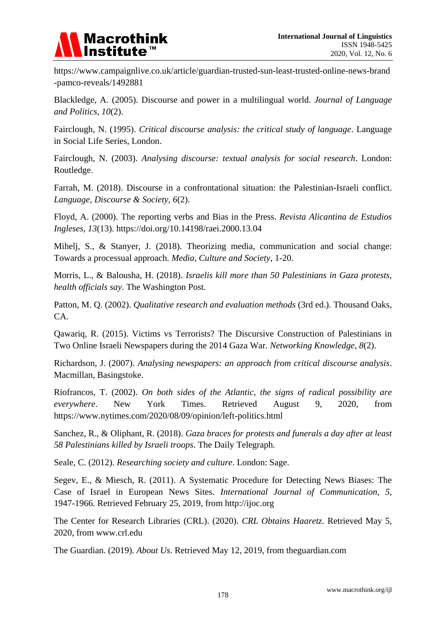

https://www.campaignlive.co.uk/article/guardian-trusted-sun-least-trusted-online-news-brand -pamco-reveals/1492881

Blackledge, A. (2005). Discourse and power in a multilingual world. *Journal of Language and Politics, 10*(2).

Fairclough, N. (1995). *Critical discourse analysis: the critical study of language*. Language in Social Life Series, London.

Fairclough, N. (2003). *Analysing discourse: textual analysis for social research*. London: Routledge.

Farrah, M. (2018). Discourse in a confrontational situation: the Palestinian-Israeli conflict. *Language, Discourse & Society, 6*(2).

Floyd, A. (2000). The reporting verbs and Bias in the Press. *Revista Alicantina de Estudios Ingleses, 13*(13). https://doi.org/10.14198/raei.2000.13.04

Mihelj, S., & Stanyer, J. (2018). Theorizing media, communication and social change: Towards a processual approach. *Media, Culture and Society*, 1-20.

Morris, L., & Balousha, H. (2018). *Israelis kill more than 50 Palestinians in Gaza protests, health officials say*. The Washington Post.

Patton, M. Q. (2002). *Qualitative research and evaluation methods* (3rd ed.). Thousand Oaks, CA.

Qawariq, R. (2015). Victims vs Terrorists? The Discursive Construction of Palestinians in Two Online Israeli Newspapers during the 2014 Gaza War. *Networking Knowledge, 8*(2).

Richardson, J. (2007). *Analysing newspapers: an approach from critical discourse analysis*. Macmillan, Basingstoke.

Riofrancos, T. (2002). *On both sides of the Atlantic, the signs of radical possibility are everywhere*. New York Times. Retrieved August 9, 2020, from <https://www.nytimes.com/2020/08/09/opinion/left-politics.html>

Sanchez, R., & Oliphant, R. (2018). *Gaza braces for protests and funerals a day after at least 58 Palestinians killed by Israeli troops*. The Daily Telegraph.

Seale, C. (2012). *Researching society and culture*. London: Sage.

Segev, E., & Miesch, R. (2011). A Systematic Procedure for Detecting News Biases: The Case of Israel in European News Sites. *International Journal of Communication, 5*, 1947-1966. Retrieved February 25, 2019, from http://ijoc.org

The Center for Research Libraries (CRL). (2020). *CRL Obtains Haaretz*. Retrieved May 5, 2020, from www.crl.edu

The Guardian. (2019). *About Us*. Retrieved May 12, 2019, from theguardian.com